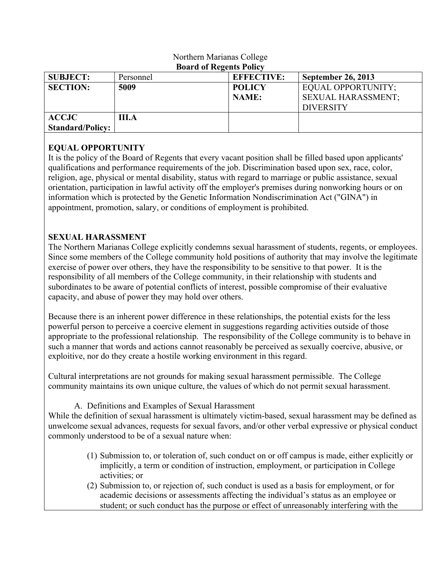| $D0$ $\cdots$ $C1$ and $C2$ and $C3$ and $C4$ |           |                   |                           |
|-----------------------------------------------|-----------|-------------------|---------------------------|
| <b>SUBJECT:</b>                               | Personnel | <b>EFFECTIVE:</b> | <b>September 26, 2013</b> |
| <b>SECTION:</b>                               | 5009      | <b>POLICY</b>     | EQUAL OPPORTUNITY;        |
|                                               |           | <b>NAME:</b>      | <b>SEXUAL HARASSMENT:</b> |
|                                               |           |                   | <b>DIVERSITY</b>          |
| <b>ACCJC</b>                                  | III.A     |                   |                           |
| <b>Standard/Policy:</b>                       |           |                   |                           |

#### Northern Marianas College **Board of Regents Policy**

### **EQUAL OPPORTUNITY**

It is the policy of the Board of Regents that every vacant position shall be filled based upon applicants' qualifications and performance requirements of the job. Discrimination based upon sex, race, color, religion, age, physical or mental disability, status with regard to marriage or public assistance, sexual orientation, participation in lawful activity off the employer's premises during nonworking hours or on information which is protected by the Genetic Information Nondiscrimination Act ("GINA") in appointment, promotion, salary, or conditions of employment is prohibited.

# **SEXUAL HARASSMENT**

The Northern Marianas College explicitly condemns sexual harassment of students, regents, or employees. Since some members of the College community hold positions of authority that may involve the legitimate exercise of power over others, they have the responsibility to be sensitive to that power. It is the responsibility of all members of the College community, in their relationship with students and subordinates to be aware of potential conflicts of interest, possible compromise of their evaluative capacity, and abuse of power they may hold over others.

Because there is an inherent power difference in these relationships, the potential exists for the less powerful person to perceive a coercive element in suggestions regarding activities outside of those appropriate to the professional relationship. The responsibility of the College community is to behave in such a manner that words and actions cannot reasonably be perceived as sexually coercive, abusive, or exploitive, nor do they create a hostile working environment in this regard.

Cultural interpretations are not grounds for making sexual harassment permissible. The College community maintains its own unique culture, the values of which do not permit sexual harassment.

### A. Definitions and Examples of Sexual Harassment

While the definition of sexual harassment is ultimately victim-based, sexual harassment may be defined as unwelcome sexual advances, requests for sexual favors, and/or other verbal expressive or physical conduct commonly understood to be of a sexual nature when:

- (1) Submission to, or toleration of, such conduct on or off campus is made, either explicitly or implicitly, a term or condition of instruction, employment, or participation in College activities; or
- (2) Submission to, or rejection of, such conduct is used as a basis for employment, or for academic decisions or assessments affecting the individual's status as an employee or student; or such conduct has the purpose or effect of unreasonably interfering with the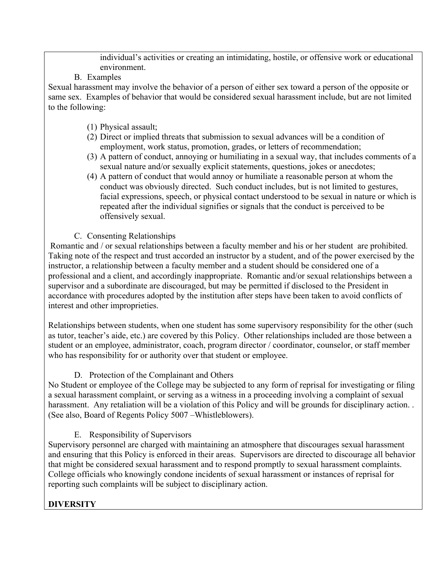individual's activities or creating an intimidating, hostile, or offensive work or educational environment.

B. Examples

Sexual harassment may involve the behavior of a person of either sex toward a person of the opposite or same sex. Examples of behavior that would be considered sexual harassment include, but are not limited to the following:

- (1) Physical assault;
- (2) Direct or implied threats that submission to sexual advances will be a condition of employment, work status, promotion, grades, or letters of recommendation;
- (3) A pattern of conduct, annoying or humiliating in a sexual way, that includes comments of a sexual nature and/or sexually explicit statements, questions, jokes or anecdotes;
- (4) A pattern of conduct that would annoy or humiliate a reasonable person at whom the conduct was obviously directed. Such conduct includes, but is not limited to gestures, facial expressions, speech, or physical contact understood to be sexual in nature or which is repeated after the individual signifies or signals that the conduct is perceived to be offensively sexual.
- C. Consenting Relationships

Romantic and / or sexual relationships between a faculty member and his or her student are prohibited. Taking note of the respect and trust accorded an instructor by a student, and of the power exercised by the instructor, a relationship between a faculty member and a student should be considered one of a professional and a client, and accordingly inappropriate. Romantic and/or sexual relationships between a supervisor and a subordinate are discouraged, but may be permitted if disclosed to the President in accordance with procedures adopted by the institution after steps have been taken to avoid conflicts of interest and other improprieties.

Relationships between students, when one student has some supervisory responsibility for the other (such as tutor, teacher's aide, etc.) are covered by this Policy. Other relationships included are those between a student or an employee, administrator, coach, program director / coordinator, counselor, or staff member who has responsibility for or authority over that student or employee.

D. Protection of the Complainant and Others

No Student or employee of the College may be subjected to any form of reprisal for investigating or filing a sexual harassment complaint, or serving as a witness in a proceeding involving a complaint of sexual harassment. Any retaliation will be a violation of this Policy and will be grounds for disciplinary action. . (See also, Board of Regents Policy 5007 –Whistleblowers).

E. Responsibility of Supervisors

Supervisory personnel are charged with maintaining an atmosphere that discourages sexual harassment and ensuring that this Policy is enforced in their areas. Supervisors are directed to discourage all behavior that might be considered sexual harassment and to respond promptly to sexual harassment complaints. College officials who knowingly condone incidents of sexual harassment or instances of reprisal for reporting such complaints will be subject to disciplinary action.

# **DIVERSITY**